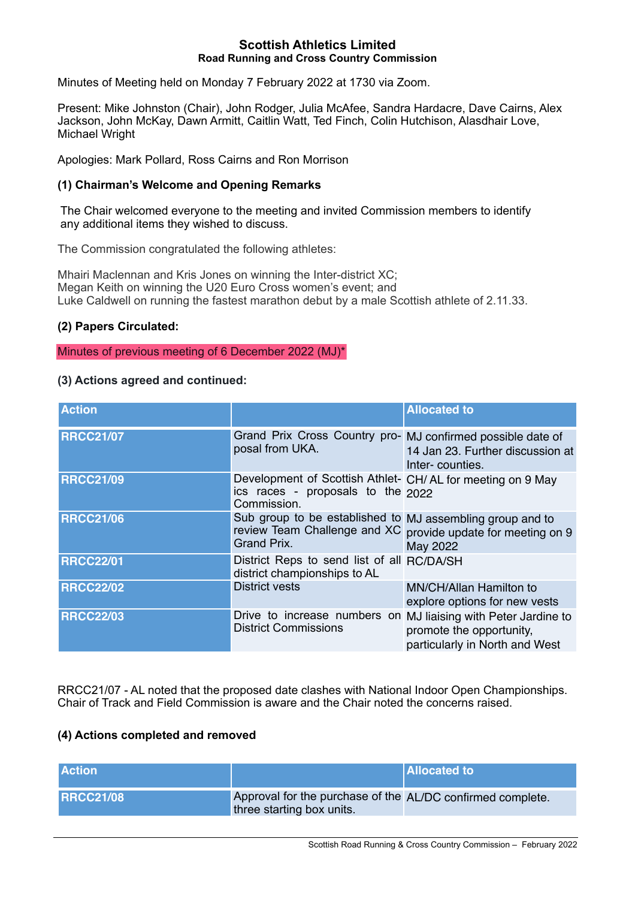#### **Scottish Athletics Limited Road Running and Cross Country Commission**

Minutes of Meeting held on Monday 7 February 2022 at 1730 via Zoom.

Present: Mike Johnston (Chair), John Rodger, Julia McAfee, Sandra Hardacre, Dave Cairns, Alex Jackson, John McKay, Dawn Armitt, Caitlin Watt, Ted Finch, Colin Hutchison, Alasdhair Love, Michael Wright

Apologies: Mark Pollard, Ross Cairns and Ron Morrison

## **(1) Chairman's Welcome and Opening Remarks**

The Chair welcomed everyone to the meeting and invited Commission members to identify any additional items they wished to discuss.

The Commission congratulated the following athletes:

Mhairi Maclennan and Kris Jones on winning the Inter-district XC; Megan Keith on winning the U20 Euro Cross women's event; and Luke Caldwell on running the fastest marathon debut by a male Scottish athlete of 2.11.33.

### **(2) Papers Circulated:**

Minutes of previous meeting of 6 December 2022 (MJ)\*

### **(3) Actions agreed and continued:**

| <b>Action</b>    |                                                                                                                  | <b>Allocated to</b>                                        |
|------------------|------------------------------------------------------------------------------------------------------------------|------------------------------------------------------------|
| <b>RRCC21/07</b> | Grand Prix Cross Country pro- MJ confirmed possible date of<br>posal from UKA.                                   | 14 Jan 23. Further discussion at<br>Inter-counties.        |
| <b>RRCC21/09</b> | Development of Scottish Athlet- CH/AL for meeting on 9 May<br>ics races - proposals to the $2022$<br>Commission. |                                                            |
| <b>RRCC21/06</b> | Sub group to be established to MJ assembling group and to<br>review Team Challenge and XC<br>Grand Prix.         | provide update for meeting on 9<br>May 2022                |
| <b>RRCC22/01</b> | District Reps to send list of all RC/DA/SH<br>district championships to AL                                       |                                                            |
| <b>RRCC22/02</b> | <b>District vests</b>                                                                                            | MN/CH/Allan Hamilton to<br>explore options for new vests   |
| <b>RRCC22/03</b> | Drive to increase numbers on MJ liaising with Peter Jardine to<br><b>District Commissions</b>                    | promote the opportunity,<br>particularly in North and West |

RRCC21/07 - AL noted that the proposed date clashes with National Indoor Open Championships. Chair of Track and Field Commission is aware and the Chair noted the concerns raised.

# **(4) Actions completed and removed**

| <b>Action</b>     |                                                                                         | <b>Allocated to</b> |
|-------------------|-----------------------------------------------------------------------------------------|---------------------|
| <b>IRRCC21/08</b> | Approval for the purchase of the AL/DC confirmed complete.<br>three starting box units. |                     |